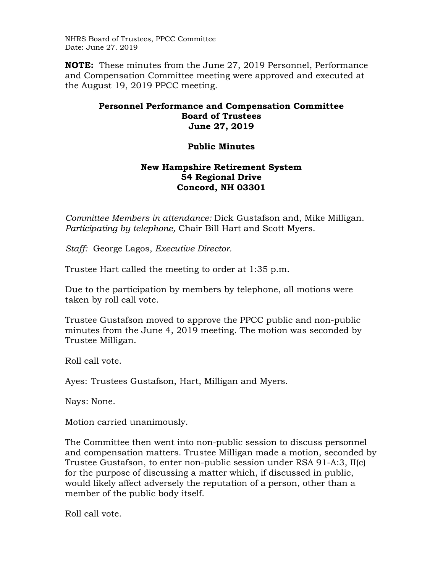NHRS Board of Trustees, PPCC Committee Date: June 27. 2019

**NOTE:** These minutes from the June 27, 2019 Personnel, Performance and Compensation Committee meeting were approved and executed at the August 19, 2019 PPCC meeting.

## **Personnel Performance and Compensation Committee Board of Trustees June 27, 2019**

## **Public Minutes**

## **New Hampshire Retirement System 54 Regional Drive Concord, NH 03301**

*Committee Members in attendance:* Dick Gustafson and, Mike Milligan. *Participating by telephone,* Chair Bill Hart and Scott Myers.

*Staff:* George Lagos, *Executive Director.* 

Trustee Hart called the meeting to order at 1:35 p.m.

Due to the participation by members by telephone, all motions were taken by roll call vote.

Trustee Gustafson moved to approve the PPCC public and non-public minutes from the June 4, 2019 meeting. The motion was seconded by Trustee Milligan.

Roll call vote.

Ayes: Trustees Gustafson, Hart, Milligan and Myers.

Nays: None.

Motion carried unanimously.

The Committee then went into non-public session to discuss personnel and compensation matters. Trustee Milligan made a motion, seconded by Trustee Gustafson, to enter non-public session under RSA 91-A:3, II(c) for the purpose of discussing a matter which, if discussed in public, would likely affect adversely the reputation of a person, other than a member of the public body itself.

Roll call vote.